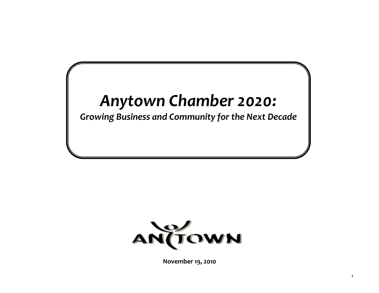# *Anytown Chamber 2020:*

*Growing Business and Community for the Next Decade*



**November 19, 2010**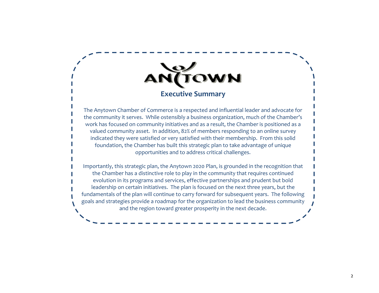

The Anytown Chamber of Commerce is a respected and influential leader and advocate for the community it serves. While ostensibly a business organization, much of the Chamber's work has focused on community initiatives and as a result, the Chamber is positioned as a valued community asset. In addition, 82% of members responding to an online survey indicated they were satisfied or very satisfied with their membership. From this solid foundation, the Chamber has built this strategic plan to take advantage of unique opportunities and to address critical challenges.

Importantly, this strategic plan, the Anytown 2020 Plan, is grounded in the recognition that the Chamber has a distinctive role to play in the community that requires continued evolution in its programs and services, effective partnerships and prudent but bold leadership on certain initiatives. The plan is focused on the next three years, but the fundamentals of the plan will continue to carry forward for subsequent years. The following goals and strategies provide a roadmap for the organization to lead the business community and the region toward greater prosperity in the next decade.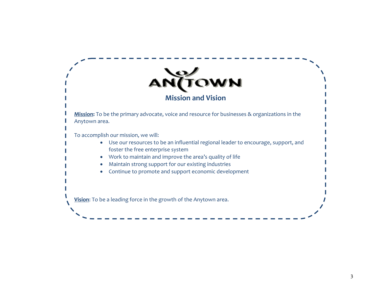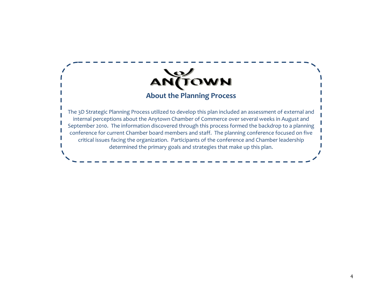

### **About the Planning Process**

The 3D Strategic Planning Process utilized to develop this plan included an assessment of external and internal perceptions about the Anytown Chamber of Commerce over several weeks in August and September 2010. The information discovered through this process formed the backdrop to a planning conference for current Chamber board members and staff. The planning conference focused on five critical issues facing the organization. Participants of the conference and Chamber leadership determined the primary goals and strategies that make up this plan.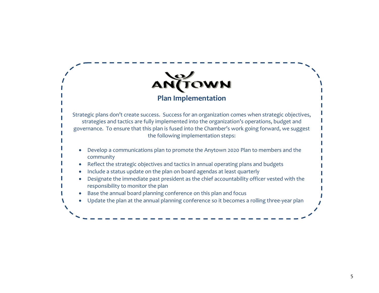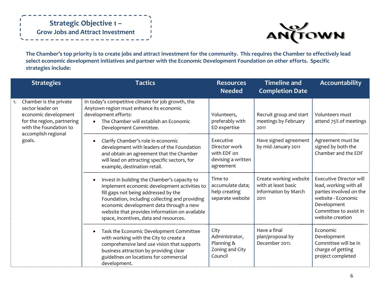## **Strategic Objective 1 – Grow Jobs and Attract Investment**



**The Chamber's top priority is to create jobs and attract investment for the community. This requires the Chamber to effectively lead select economic development initiatives and partner with the Economic Development Foundation on other efforts. Specific strategies include:**

| <b>Strategies</b>                                                                                                          | <b>Tactics</b>                                                                                                                                                                                                                                                                                                                             | <b>Resources</b><br><b>Needed</b>                                            | <b>Timeline and</b><br><b>Completion Date</b>                                 | <b>Accountability</b>                                                                                                                                                  |
|----------------------------------------------------------------------------------------------------------------------------|--------------------------------------------------------------------------------------------------------------------------------------------------------------------------------------------------------------------------------------------------------------------------------------------------------------------------------------------|------------------------------------------------------------------------------|-------------------------------------------------------------------------------|------------------------------------------------------------------------------------------------------------------------------------------------------------------------|
| Chamber is the private<br>sector leader on<br>economic development<br>for the region, partnering<br>with the Foundation to | In today's competitive climate for job growth, the<br>Anytown region must enhance its economic<br>development efforts:<br>The Chamber will establish an Economic<br>Development Committee.                                                                                                                                                 | Volunteers,<br>preferably with<br>ED expertise                               | Recruit group and start<br>meetings by February<br>2011                       | Volunteers must<br>attend 75% of meetings                                                                                                                              |
| accomplish regional<br>goals.                                                                                              | Clarify Chamber's role in economic<br>$\bullet$<br>development with leaders of the Foundation<br>and obtain an agreement that the Chamber<br>will lead on attracting specific sectors, for<br>example, destination retail.                                                                                                                 | Executive<br>Director work<br>with EDF on<br>devising a written<br>agreement | Have signed agreement<br>by mid-January 2011                                  | Agreement must be<br>signed by both the<br>Chamber and the EDF                                                                                                         |
|                                                                                                                            | Invest in building the Chamber's capacity to<br>$\bullet$<br>implement economic development activities to<br>fill gaps not being addressed by the<br>Foundation, including collecting and providing<br>economic development data through a new<br>website that provides information on available<br>space, incentives, data and resources. | Time to<br>accumulate data;<br>help creating<br>separate website             | Create working website<br>with at least basic<br>information by March<br>2011 | <b>Executive Director will</b><br>lead, working with all<br>parties involved on the<br>website - Economic<br>Development<br>Committee to assist in<br>website creation |
|                                                                                                                            | Task the Economic Development Committee<br>$\bullet$<br>with working with the City to create a<br>comprehensive land use vision that supports<br>business attraction by providing clear<br>guidelines on locations for commercial<br>development.                                                                                          | City<br>Administrator,<br>Planning &<br>Zoning and City<br>Council           | Have a final<br>plan/proposal by<br>December 2011.                            | Economic<br>Development<br>Committee will be in<br>charge of getting<br>project completed                                                                              |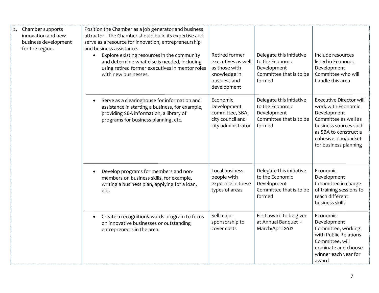| Chamber supports<br>2.<br>innovation and new<br>business development<br>for the region. | Position the Chamber as a job generator and business<br>attractor. The Chamber should build its expertise and<br>serve as a resource for innovation, entrepreneurship<br>and business assistance.<br>Explore existing resources in the community<br>$\bullet$<br>and determine what else is needed, including<br>using retired former executives in mentor roles<br>with new businesses. | Retired former<br>executives as well<br>as those with<br>knowledge in<br>business and<br>development | Delegate this initiative<br>to the Economic<br>Development<br>Committee that is to be<br>formed | Include resources<br>listed in Economic<br>Development<br>Committee who will<br>handle this area                                                                                               |
|-----------------------------------------------------------------------------------------|------------------------------------------------------------------------------------------------------------------------------------------------------------------------------------------------------------------------------------------------------------------------------------------------------------------------------------------------------------------------------------------|------------------------------------------------------------------------------------------------------|-------------------------------------------------------------------------------------------------|------------------------------------------------------------------------------------------------------------------------------------------------------------------------------------------------|
|                                                                                         | Serve as a clearinghouse for information and<br>assistance in starting a business, for example,<br>providing SBA information, a library of<br>programs for business planning, etc.                                                                                                                                                                                                       | Economic<br>Development<br>committee, SBA,<br>city council and<br>city administrator                 | Delegate this initiative<br>to the Economic<br>Development<br>Committee that is to be<br>formed | <b>Executive Director will</b><br>work with Economic<br>Development<br>Committee as well as<br>business sources such<br>as SBA to construct a<br>cohesive plan/packet<br>for business planning |
|                                                                                         | Develop programs for members and non-<br>$\bullet$<br>members on business skills, for example,<br>writing a business plan, applying for a loan,<br>etc.                                                                                                                                                                                                                                  | Local business<br>people with<br>expertise in these<br>types of areas                                | Delegate this initiative<br>to the Economic<br>Development<br>Committee that is to be<br>formed | Economic<br>Development<br>Committee in charge<br>of training sessions to<br>teach different<br>business skills                                                                                |
|                                                                                         | Create a recognition/awards program to focus<br>$\bullet$<br>on innovative businesses or outstanding<br>entrepreneurs in the area.                                                                                                                                                                                                                                                       | Sell major<br>sponsorship to<br>cover costs                                                          | First award to be given<br>at Annual Banquet -<br>March/April 2012                              | Economic<br>Development<br>Committee, working<br>with Public Relations<br>Committee, will<br>nominate and choose<br>winner each year for<br>award                                              |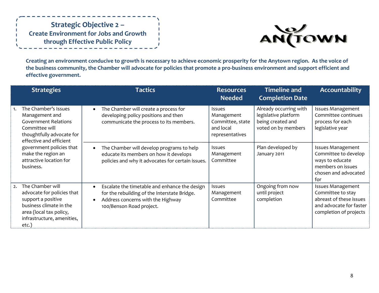### **Strategic Objective 2 – Create Environment for Jobs and Growth through Effective Public Policy**



**Creating an environment conducive to growth is necessary to achieve economic prosperity for the Anytown region. As the voice of the business community, the Chamber will advocate for policies that promote a pro-business environment and support efficient and effective government.**

|                                                                                                                                                                                                                                           | <b>Strategies</b>                                                                                                                                                 | <b>Tactics</b>                                                                                                                                                                           | <b>Resources</b><br><b>Needed</b>                                               | <b>Timeline and</b><br><b>Completion Date</b>                                                                           | Accountability                                                                                                                |
|-------------------------------------------------------------------------------------------------------------------------------------------------------------------------------------------------------------------------------------------|-------------------------------------------------------------------------------------------------------------------------------------------------------------------|------------------------------------------------------------------------------------------------------------------------------------------------------------------------------------------|---------------------------------------------------------------------------------|-------------------------------------------------------------------------------------------------------------------------|-------------------------------------------------------------------------------------------------------------------------------|
| The Chamber's Issues<br>Management and<br><b>Government Relations</b><br>Committee will<br>thoughtfully advocate for<br>effective and efficient<br>government policies that<br>make the region an<br>attractive location for<br>business. |                                                                                                                                                                   | The Chamber will create a process for<br>$\bullet$<br>developing policy positions and then<br>communicate the process to its members.                                                    | <b>Issues</b><br>Management<br>Committee, state<br>and local<br>representatives | Already occurring with<br>legislative platform<br>being created and<br>voted on by members                              | <b>Issues Management</b><br>Committee continues<br>process for each<br>legislative year                                       |
|                                                                                                                                                                                                                                           | The Chamber will develop programs to help<br>$\bullet$<br>educate its members on how it develops<br>policies and why it advocates for certain issues.             | <b>Issues</b><br>Management<br>Committee                                                                                                                                                 | Plan developed by<br>January 2011                                               | <b>Issues Management</b><br>Committee to develop<br>ways to educate<br>members on issues<br>chosen and advocated<br>for |                                                                                                                               |
| 2.                                                                                                                                                                                                                                        | The Chamber will<br>advocate for policies that<br>support a positive<br>business climate in the<br>area (local tax policy,<br>infrastructure, amenities,<br>etc.) | Escalate the timetable and enhance the design<br>$\bullet$<br>for the rebuilding of the Interstate Bridge.<br>Address concerns with the Highway<br>$\bullet$<br>100/Benson Road project. | Issues<br>Management<br>Committee                                               | Ongoing from now<br>until project<br>completion                                                                         | <b>Issues Management</b><br>Committee to stay<br>abreast of these issues<br>and advocate for faster<br>completion of projects |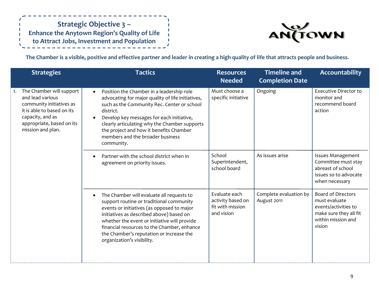**Strategic Objective 3 – Enhance the Anytown Region's Quality of Life to Attract Jobs, Investment and Population**

т

T. п T.  $\mathbf{V}$ 



**The Chamber is a visible, positive and effective partner and leader in creating a high quality of life that attracts people and business.**

|                                                           | <b>Strategies</b>                                                                                               | <b>Tactics</b>                                                                                                                                                                                                                                                                                                                                                                  | <b>Resources</b><br><b>Needed</b>                                    | <b>Timeline and</b><br><b>Completion Date</b> | Accountability                                                                                                               |
|-----------------------------------------------------------|-----------------------------------------------------------------------------------------------------------------|---------------------------------------------------------------------------------------------------------------------------------------------------------------------------------------------------------------------------------------------------------------------------------------------------------------------------------------------------------------------------------|----------------------------------------------------------------------|-----------------------------------------------|------------------------------------------------------------------------------------------------------------------------------|
| and lead various<br>capacity, and as<br>mission and plan. | The Chamber will support<br>community initiatives as<br>it is able to based on its<br>appropriate, based on its | Position the Chamber in a leadership role<br>$\bullet$<br>advocating for major quality of life initiatives,<br>such as the Community Rec. Center or school<br>district.<br>Develop key messages for each initiative,<br>$\bullet$<br>clearly articulating why the Chamber supports<br>the project and how it benefits Chamber<br>members and the broader business<br>community. | Must choose a<br>specific initiative                                 | Ongoing                                       | <b>Executive Director to</b><br>monitor and<br>recommend board<br>action                                                     |
|                                                           |                                                                                                                 | Partner with the school district when in<br>agreement on priority issues.                                                                                                                                                                                                                                                                                                       | School<br>Superintendent,<br>school board                            | As issues arise                               | <b>Issues Management</b><br>Committee must stay<br>abreast of school<br>issues so to advocate<br>when necessary              |
|                                                           |                                                                                                                 | The Chamber will evaluate all requests to<br>$\bullet$<br>support routine or traditional community<br>events or initiatives (as opposed to major<br>initiatives as described above) based on<br>whether the event or initiative will provide<br>financial resources to the Chamber, enhance<br>the Chamber's reputation or increase the<br>organization's visibility.           | Evaluate each<br>activity based on<br>fit with mission<br>and vision | Complete evaluation by<br>August 2011         | <b>Board of Directors</b><br>must evaluate<br>events/activities to<br>make sure they all fit<br>within mission and<br>vision |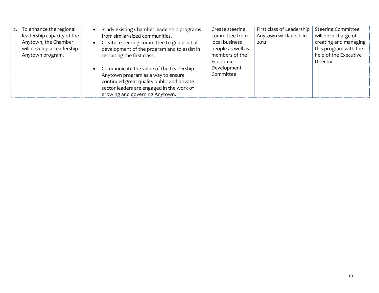| 2. To enhance the regional<br>leadership capacity of the<br>Anytown, the Chamber<br>will develop a Leadership<br>Anytown program. | Study existing Chamber leadership programs<br>$\bullet$<br>from similar-sized communities.<br>Create a steering committee to guide initial<br>$\bullet$<br>development of the program and to assist in<br>recruiting the first class. | Create steering<br>committee from<br>local business<br>people as well as<br>members of the<br>Economic | First class of Leadership   Steering Committee<br>Anytown will launch in<br>2012 | will be in charge of<br>creating and managing<br>this program with the<br>help of the Executive<br>Director |
|-----------------------------------------------------------------------------------------------------------------------------------|---------------------------------------------------------------------------------------------------------------------------------------------------------------------------------------------------------------------------------------|--------------------------------------------------------------------------------------------------------|----------------------------------------------------------------------------------|-------------------------------------------------------------------------------------------------------------|
|                                                                                                                                   | Communicate the value of the Leadership<br>$\bullet$<br>Anytown program as a way to ensure<br>continued great quality public and private<br>sector leaders are engaged in the work of<br>growing and governing Anytown.               | Development<br>Committee                                                                               |                                                                                  |                                                                                                             |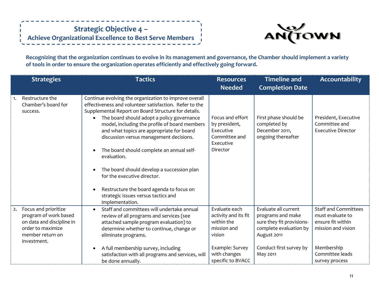## **Strategic Objective 4 – Achieve Organizational Excellence to Best Serve Members**



**Recognizing that the organization continues to evolve in its management and governance, the Chamber should implement a variety of tools in order to ensure the organization operates efficiently and effectively going forward.**

| <b>Strategies</b>                                                                                                                        | <b>Tactics</b>                                                                                                                                                                                                                                                                                                                                                                                                                                                                                                                                                                                                                                      | <b>Resources</b><br><b>Needed</b>                                                        | <b>Timeline and</b><br><b>Completion Date</b>                                                                   | <b>Accountability</b>                                                                      |
|------------------------------------------------------------------------------------------------------------------------------------------|-----------------------------------------------------------------------------------------------------------------------------------------------------------------------------------------------------------------------------------------------------------------------------------------------------------------------------------------------------------------------------------------------------------------------------------------------------------------------------------------------------------------------------------------------------------------------------------------------------------------------------------------------------|------------------------------------------------------------------------------------------|-----------------------------------------------------------------------------------------------------------------|--------------------------------------------------------------------------------------------|
|                                                                                                                                          |                                                                                                                                                                                                                                                                                                                                                                                                                                                                                                                                                                                                                                                     |                                                                                          |                                                                                                                 |                                                                                            |
| Restructure the<br>1.<br>Chamber's board for<br>success.                                                                                 | Continue evolving the organization to improve overall<br>effectiveness and volunteer satisfaction. Refer to the<br>Supplemental Report on Board Structure for details.<br>The board should adopt a policy governance<br>model, including the profile of board members<br>and what topics are appropriate for board<br>discussion versus management decisions.<br>The board should complete an annual self-<br>$\bullet$<br>evaluation.<br>The board should develop a succession plan<br>$\bullet$<br>for the executive director.<br>Restructure the board agenda to focus on<br>$\bullet$<br>strategic issues versus tactics and<br>implementation. | Focus and effort<br>by president,<br>Executive<br>Committee and<br>Executive<br>Director | First phase should be<br>completed by<br>December 2011,<br>ongoing thereafter                                   | President, Executive<br>Committee and<br><b>Executive Director</b>                         |
| Focus and prioritize<br>2.<br>program of work based<br>on data and discipline in<br>order to maximize<br>member return on<br>investment. | Staff and committees will undertake annual<br>$\bullet$<br>review of all programs and services (see<br>attached sample program evaluation) to<br>determine whether to continue, change or<br>eliminate programs.                                                                                                                                                                                                                                                                                                                                                                                                                                    | Evaluate each<br>activity and its fit<br>within the<br>mission and<br>vision             | Evaluate all current<br>programs and make<br>sure they fit provisions-<br>complete evaluation by<br>August 2011 | <b>Staff and Committees</b><br>must evaluate to<br>ensure fit within<br>mission and vision |
|                                                                                                                                          | A full membership survey, including<br>$\bullet$<br>satisfaction with all programs and services, will<br>be done annually.                                                                                                                                                                                                                                                                                                                                                                                                                                                                                                                          | Example: Survey<br>with changes<br>specific to BVACC                                     | Conduct first survey by<br>May 2011                                                                             | Membership<br>Committee leads<br>survey process                                            |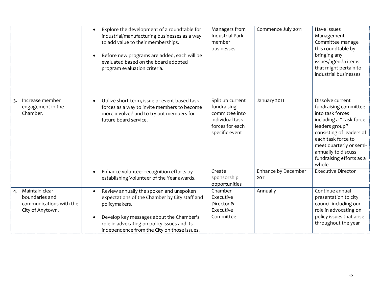|                                                                                       | Explore the development of a roundtable for<br>$\bullet$<br>industrial/manufacturing businesses as a way<br>to add value to their memberships.<br>Before new programs are added, each will be<br>$\bullet$<br>evaluated based on the board adopted<br>program evaluation criteria. | Managers from<br><b>Industrial Park</b><br>member<br>businesses                                           | Commence July 2011          | Have Issues<br>Management<br>Committee manage<br>this roundtable by<br>bringing any<br>issues/agenda items<br>that might pertain to<br>industrial businesses                                                                                        |
|---------------------------------------------------------------------------------------|------------------------------------------------------------------------------------------------------------------------------------------------------------------------------------------------------------------------------------------------------------------------------------|-----------------------------------------------------------------------------------------------------------|-----------------------------|-----------------------------------------------------------------------------------------------------------------------------------------------------------------------------------------------------------------------------------------------------|
| Increase member<br>3.<br>engagement in the<br>Chamber.                                | Utilize short-term, issue or event-based task<br>$\bullet$<br>forces as a way to invite members to become<br>more involved and to try out members for<br>future board service.                                                                                                     | Split up current<br>fundraising<br>committee into<br>individual task<br>forces for each<br>specific event | January 2011                | Dissolve current<br>fundraising committee<br>into task forces<br>including a "Task force<br>leaders group"<br>consisting of leaders of<br>each task force to<br>meet quarterly or semi-<br>annually to discuss<br>fundraising efforts as a<br>whole |
|                                                                                       | Enhance volunteer recognition efforts by<br>$\bullet$<br>establishing Volunteer of the Year awards.                                                                                                                                                                                | Create<br>sponsorship<br>opportunities                                                                    | Enhance by December<br>2011 | <b>Executive Director</b>                                                                                                                                                                                                                           |
| Maintain clear<br>4.<br>boundaries and<br>communications with the<br>City of Anytown. | Review annually the spoken and unspoken<br>$\bullet$<br>expectations of the Chamber by City staff and<br>policymakers.<br>Develop key messages about the Chamber's<br>$\bullet$<br>role in advocating on policy issues and its<br>independence from the City on those issues.      | Chamber<br>Executive<br>Director &<br>Executive<br>Committee                                              | Annually                    | Continue annual<br>presentation to city<br>council including our<br>role in advocating on<br>policy issues that arise<br>throughout the year                                                                                                        |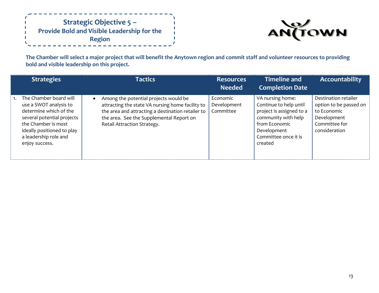



**The Chamber will select a major project that will benefit the Anytown region and commit staff and volunteer resources to providing bold and visible leadership on this project.**

| <b>Strategies</b>                                                                                                                                                                                        | <b>Tactics</b>                                                                                                                                                                                                                         | <b>Resources</b><br><b>Needed</b>    | Timeline and<br><b>Completion Date</b>                                                                                                                           | Accountability                                                                                                 |
|----------------------------------------------------------------------------------------------------------------------------------------------------------------------------------------------------------|----------------------------------------------------------------------------------------------------------------------------------------------------------------------------------------------------------------------------------------|--------------------------------------|------------------------------------------------------------------------------------------------------------------------------------------------------------------|----------------------------------------------------------------------------------------------------------------|
| The Chamber board will<br>use a SWOT analysis to<br>determine which of the<br>several potential projects<br>the Chamber is most<br>ideally positioned to play<br>a leadership role and<br>enjoy success. | Among the potential projects would be<br>$\bullet$<br>attracting the state VA nursing home facility to<br>the area and attracting a destination retailer to<br>the area. See the Supplemental Report on<br>Retail Attraction Strategy. | Economic<br>Development<br>Committee | VA nursing home:<br>Continue to help until<br>project is assigned to a<br>community with help<br>from Economic<br>Development<br>Committee once it is<br>created | Destination retailer<br>option to be passed on<br>to Economic<br>Development<br>Committee for<br>consideration |